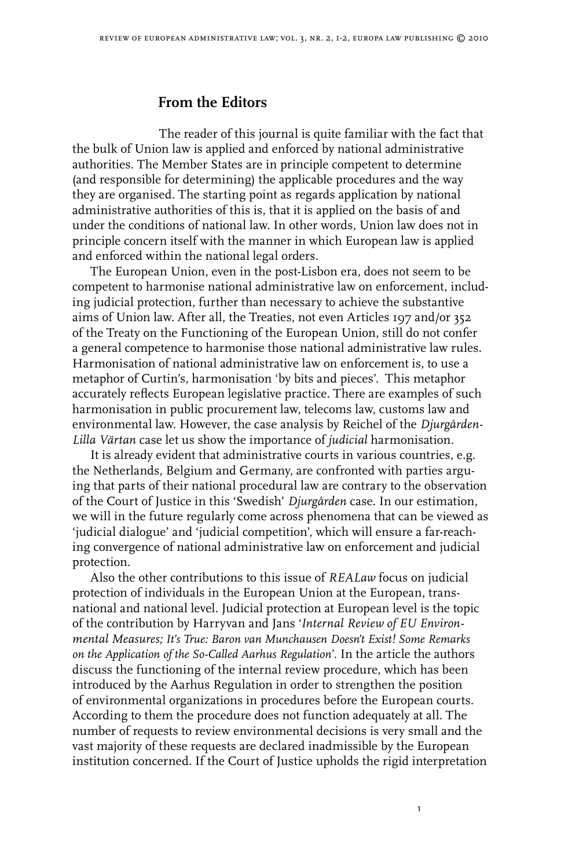## **From the Editors**

The reader of this journal is quite familiar with the fact that the bulk of Union law is applied and enforced by national administrative authorities. The Member States are in principle competent to determine (and responsible for determining) the applicable procedures and the way they are organised. The starting point as regards application by national administrative authorities of this is, that it is applied on the basis of and under the conditions of national law. In other words, Union law does not in principle concern itself with the manner in which European law is applied and enforced within the national legal orders.

The European Union, even in the post-Lisbon era, does not seem to be competent to harmonise national administrative law on enforcement, including judicial protection, further than necessary to achieve the substantive aims of Union law. After all, the Treaties, not even Articles 197 and/or 352 of the Treaty on the Functioning of the European Union, still do not confer a general competence to harmonise those national administrative law rules. Harmonisation of national administrative law on enforcement is, to use a metaphor of Curtin's, harmonisation 'by bits and pieces'. This metaphor accurately reflects European legislative practice. There are examples of such harmonisation in public procurement law, telecoms law, customs law and environmental law. However, the case analysis by Reichel of the *Djurgården-Lilla Värtan* case let us show the importance of *judicial* harmonisation.

It is already evident that administrative courts in various countries, e.g. the Netherlands, Belgium and Germany, are confronted with parties arguing that parts of their national procedural law are contrary to the observation of the Court of Justice in this 'Swedish' *Djurgården* case. In our estimation, we will in the future regularly come across phenomena that can be viewed as 'judicial dialogue' and 'judicial competition', which will ensure a far-reaching convergence of national administrative law on enforcement and judicial protection.

Also the other contributions to this issue of *REALaw* focus on judicial protection of individuals in the European Union at the European, transnational and national level. Judicial protection at European level is the topic of the contribution by Harryvan and Jans '*Internal Review of EU Environmental Measures; It's True: Baron van Munchausen Doesn't Exist! Some Remarks on the Application of the So-Called Aarhus Regulation*'. In the article the authors discuss the functioning of the internal review procedure, which has been introduced by the Aarhus Regulation in order to strengthen the position of environmental organizations in procedures before the European courts. According to them the procedure does not function adequately at all. The number of requests to review environmental decisions is very small and the vast majority of these requests are declared inadmissible by the European institution concerned. If the Court of Justice upholds the rigid interpretation

 $\mathbf{I}$